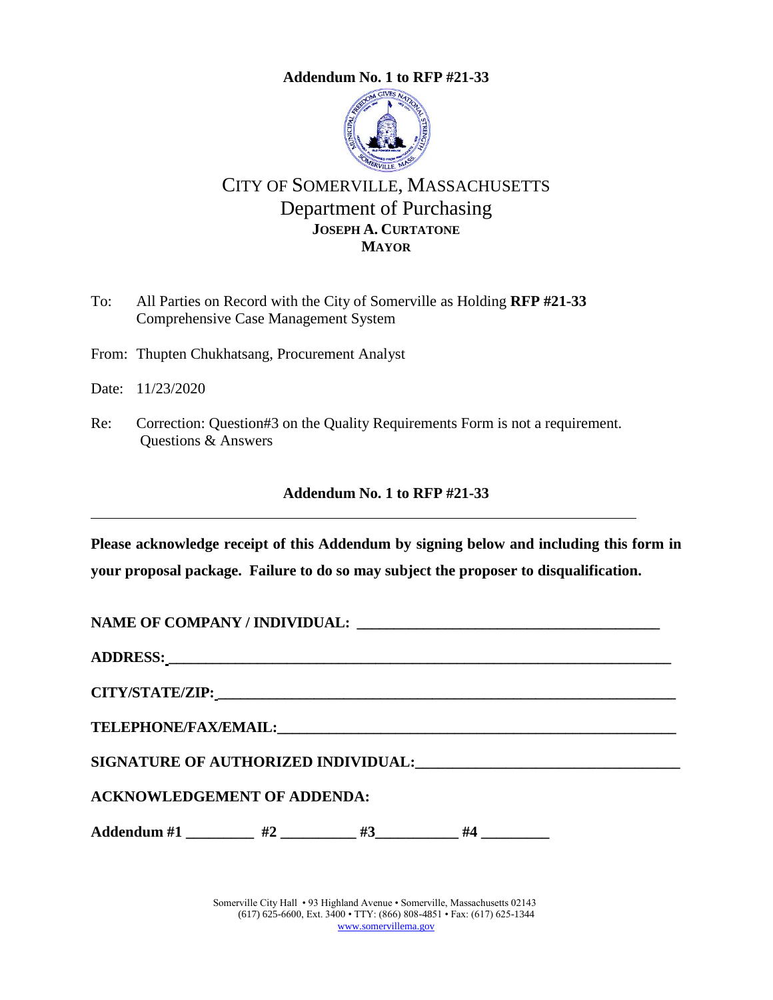<span id="page-0-0"></span>

# CITY OF SOMERVILLE, MASSACHUSETTS Department of Purchasing **JOSEPH A. CURTATONE MAYOR**

To: All Parties on Record with the City of Somerville as Holding **RFP #21-33** Comprehensive Case Management System

From: Thupten Chukhatsang, Procurement Analyst

Date: 11/23/2020

Re: Correction: Question#3 on the Quality Requirements Form is not a requirement. Questions & Answers

#### **Addendum No. 1 to RFP [#21-33](#page-0-0)**

**Please acknowledge receipt of this Addendum by signing below and including this form in your proposal package. Failure to do so may subject the proposer to disqualification.**

NAME OF COMPANY / INDIVIDUAL: **ADDRESS: \_\_\_\_\_\_\_\_\_\_\_\_\_\_\_\_\_\_\_\_\_\_\_\_\_\_\_\_\_\_\_\_\_\_\_\_\_\_\_\_\_\_\_\_\_\_\_\_\_\_\_\_\_\_\_\_\_\_\_\_\_\_\_\_\_\_\_\_**

**CITY/STATE/ZIP: \_\_\_\_\_\_\_\_\_\_\_\_\_\_\_\_\_\_\_\_\_\_\_\_\_\_\_\_\_\_\_\_\_\_\_\_\_\_\_\_\_\_\_\_\_\_\_\_\_\_\_\_\_\_\_\_\_\_\_\_\_\_**

 $\bf{TELEPHONE/FAX/EMAIL:}$ 

SIGNATURE OF AUTHORIZED INDIVIDUAL: **with an all of the contract of a** 

**ACKNOWLEDGEMENT OF ADDENDA:**

Addendum #1 \_\_\_\_\_\_\_\_\_ #2 \_\_\_\_\_\_\_ #3 \_\_\_\_\_\_ #4 \_\_\_\_\_\_\_\_

Somerville City Hall • 93 Highland Avenue • Somerville, Massachusetts 02143 (617) 625-6600, Ext. 3400 • TTY: (866) 808-4851 • Fax: (617) 625-1344 [www.somervillema.gov](http://www.somervillema.gov/)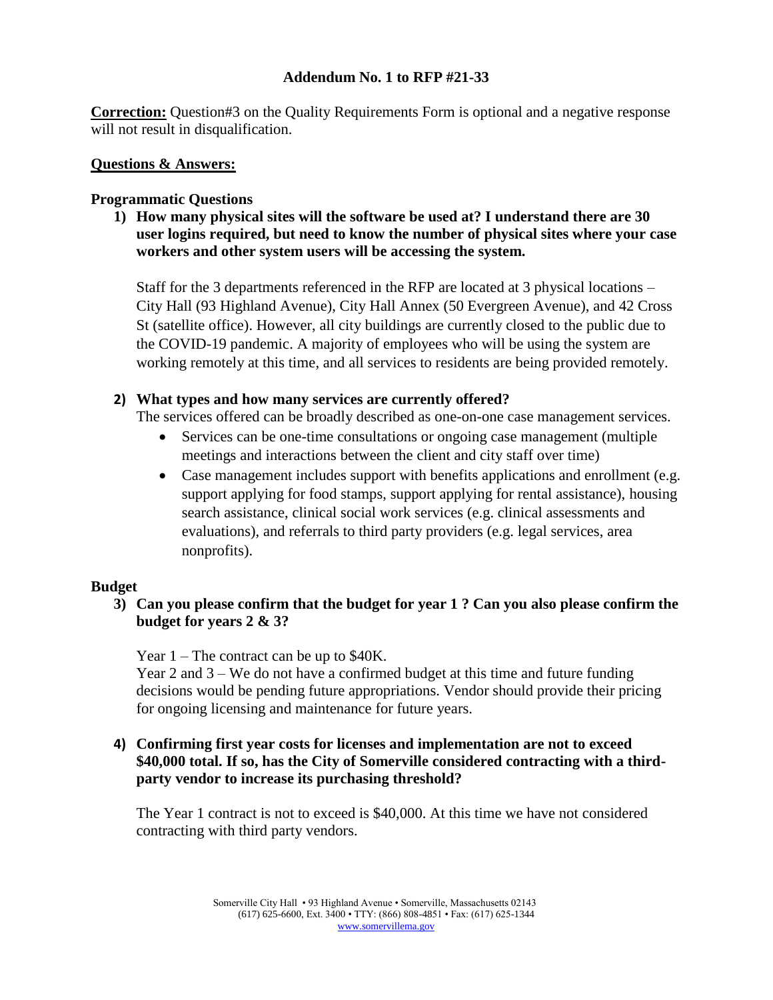**Correction:** Question#3 on the Quality Requirements Form is optional and a negative response will not result in disqualification.

#### **Questions & Answers:**

#### **Programmatic Questions**

**1) How many physical sites will the software be used at? I understand there are 30 user logins required, but need to know the number of physical sites where your case workers and other system users will be accessing the system.**

Staff for the 3 departments referenced in the RFP are located at 3 physical locations – City Hall (93 Highland Avenue), City Hall Annex (50 Evergreen Avenue), and 42 Cross St (satellite office). However, all city buildings are currently closed to the public due to the COVID-19 pandemic. A majority of employees who will be using the system are working remotely at this time, and all services to residents are being provided remotely.

### **2) What types and how many services are currently offered?**

The services offered can be broadly described as one-on-one case management services.

- Services can be one-time consultations or ongoing case management (multiple meetings and interactions between the client and city staff over time)
- Case management includes support with benefits applications and enrollment (e.g. support applying for food stamps, support applying for rental assistance), housing search assistance, clinical social work services (e.g. clinical assessments and evaluations), and referrals to third party providers (e.g. legal services, area nonprofits).

#### **Budget**

# **3) Can you please confirm that the budget for year 1 ? Can you also please confirm the budget for years 2 & 3?**

Year 1 – The contract can be up to \$40K.

Year 2 and 3 – We do not have a confirmed budget at this time and future funding decisions would be pending future appropriations. Vendor should provide their pricing for ongoing licensing and maintenance for future years.

### **4) Confirming first year costs for licenses and implementation are not to exceed \$40,000 total. If so, has the City of Somerville considered contracting with a thirdparty vendor to increase its purchasing threshold?**

The Year 1 contract is not to exceed is \$40,000. At this time we have not considered contracting with third party vendors.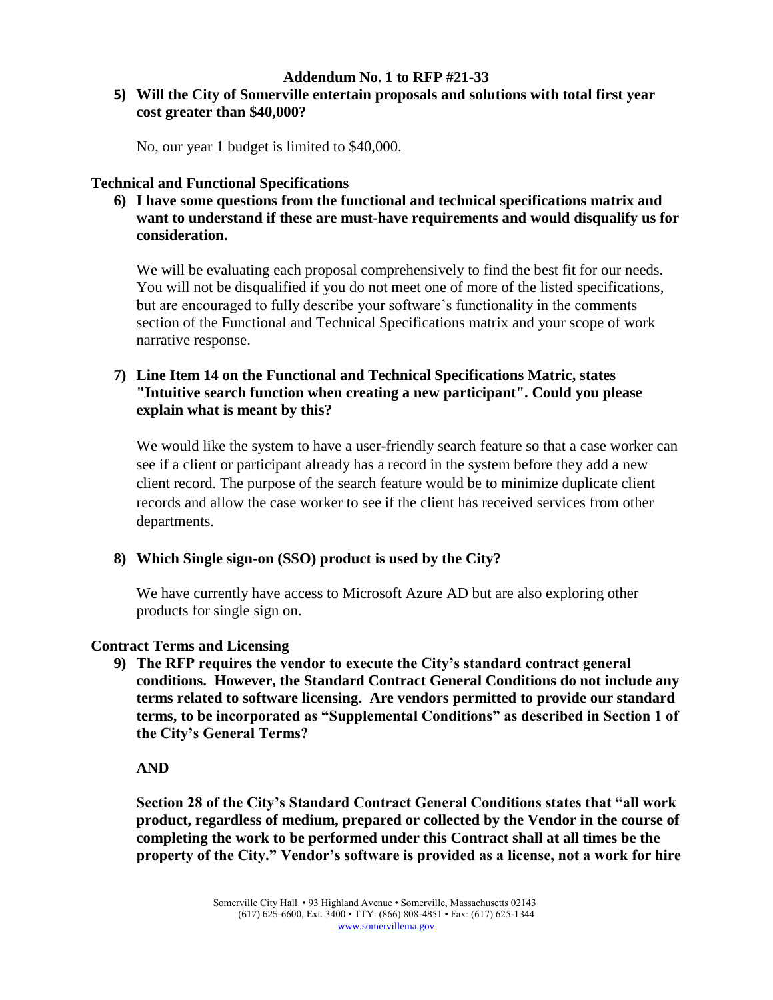### **5) Will the City of Somerville entertain proposals and solutions with total first year cost greater than \$40,000?**

No, our year 1 budget is limited to \$40,000.

### **Technical and Functional Specifications**

**6) I have some questions from the functional and technical specifications matrix and want to understand if these are must-have requirements and would disqualify us for consideration.**

We will be evaluating each proposal comprehensively to find the best fit for our needs. You will not be disqualified if you do not meet one of more of the listed specifications, but are encouraged to fully describe your software's functionality in the comments section of the Functional and Technical Specifications matrix and your scope of work narrative response.

# **7) Line Item 14 on the Functional and Technical Specifications Matric, states "Intuitive search function when creating a new participant". Could you please explain what is meant by this?**

We would like the system to have a user-friendly search feature so that a case worker can see if a client or participant already has a record in the system before they add a new client record. The purpose of the search feature would be to minimize duplicate client records and allow the case worker to see if the client has received services from other departments.

# **8) Which Single sign-on (SSO) product is used by the City?**

We have currently have access to Microsoft Azure AD but are also exploring other products for single sign on.

# **Contract Terms and Licensing**

**9) The RFP requires the vendor to execute the City's standard contract general conditions. However, the Standard Contract General Conditions do not include any terms related to software licensing. Are vendors permitted to provide our standard terms, to be incorporated as "Supplemental Conditions" as described in Section 1 of the City's General Terms?** 

# **AND**

**Section 28 of the City's Standard Contract General Conditions states that "all work product, regardless of medium, prepared or collected by the Vendor in the course of completing the work to be performed under this Contract shall at all times be the property of the City." Vendor's software is provided as a license, not a work for hire**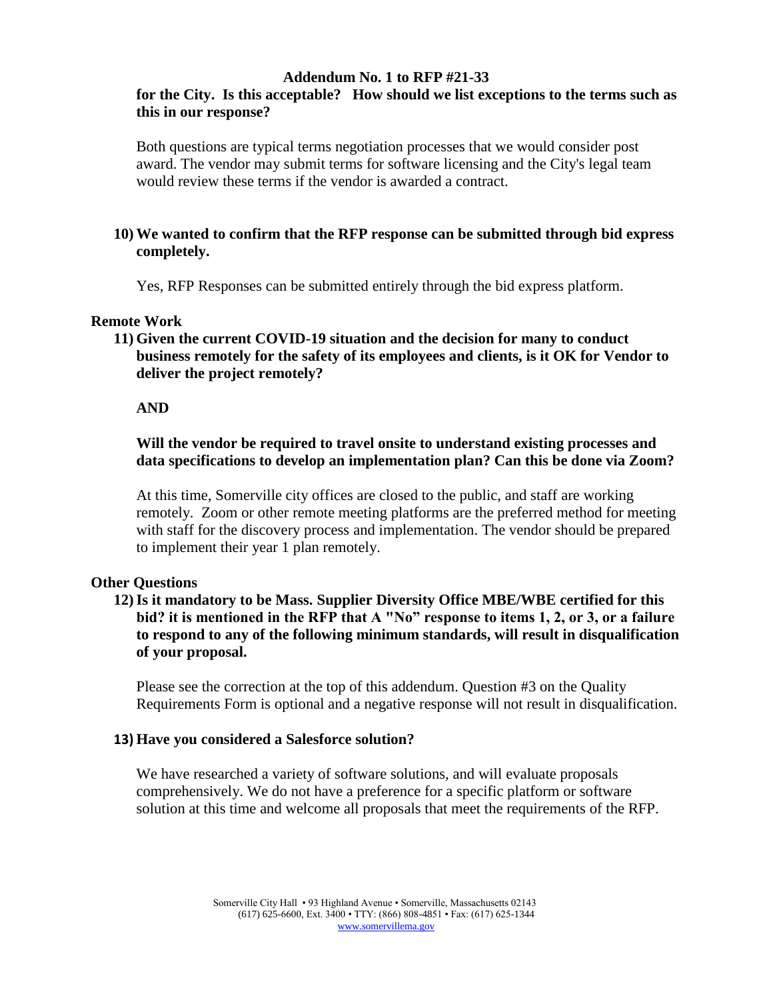# **for the City. Is this acceptable? How should we list exceptions to the terms such as this in our response?**

Both questions are typical terms negotiation processes that we would consider post award. The vendor may submit terms for software licensing and the City's legal team would review these terms if the vendor is awarded a contract.

### **10) We wanted to confirm that the RFP response can be submitted through bid express completely.**

Yes, RFP Responses can be submitted entirely through the bid express platform.

#### **Remote Work**

**11) Given the current COVID-19 situation and the decision for many to conduct business remotely for the safety of its employees and clients, is it OK for Vendor to deliver the project remotely?**

#### **AND**

### **Will the vendor be required to travel onsite to understand existing processes and data specifications to develop an implementation plan? Can this be done via Zoom?**

At this time, Somerville city offices are closed to the public, and staff are working remotely. Zoom or other remote meeting platforms are the preferred method for meeting with staff for the discovery process and implementation. The vendor should be prepared to implement their year 1 plan remotely.

#### **Other Questions**

### **12)Is it mandatory to be Mass. Supplier Diversity Office MBE/WBE certified for this bid? it is mentioned in the RFP that A "No" response to items 1, 2, or 3, or a failure to respond to any of the following minimum standards, will result in disqualification of your proposal.**

Please see the correction at the top of this addendum. Question #3 on the Quality Requirements Form is optional and a negative response will not result in disqualification.

#### **13) Have you considered a Salesforce solution?**

We have researched a variety of software solutions, and will evaluate proposals comprehensively. We do not have a preference for a specific platform or software solution at this time and welcome all proposals that meet the requirements of the RFP.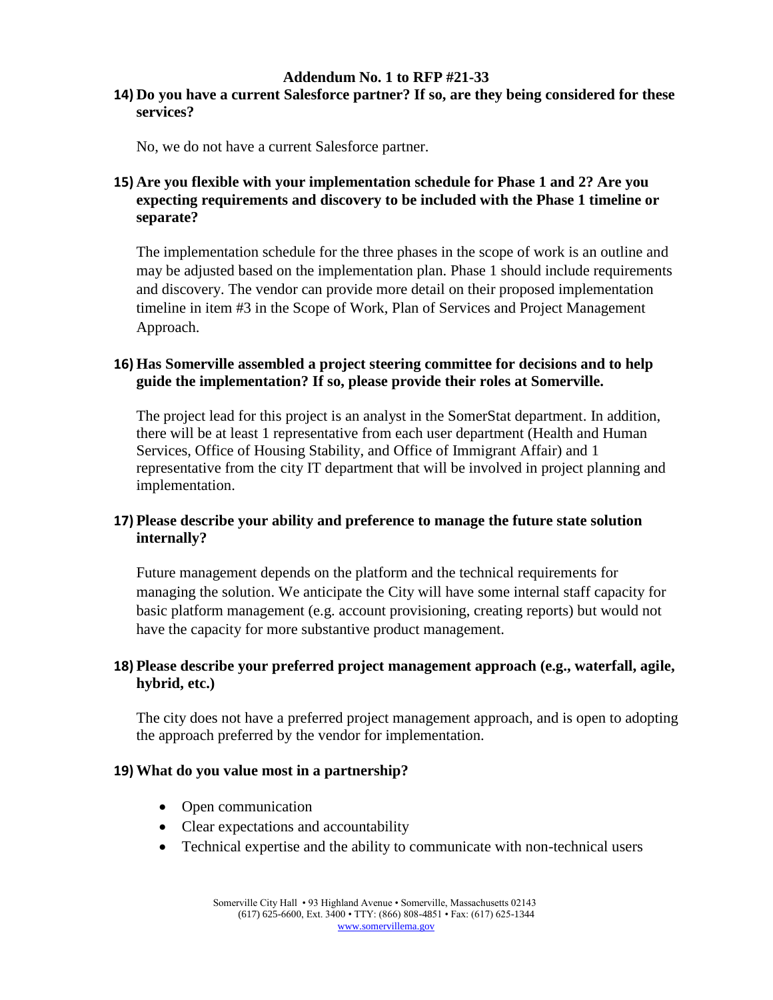#### **14) Do you have a current Salesforce partner? If so, are they being considered for these services?**

No, we do not have a current Salesforce partner.

# **15) Are you flexible with your implementation schedule for Phase 1 and 2? Are you expecting requirements and discovery to be included with the Phase 1 timeline or separate?**

The implementation schedule for the three phases in the scope of work is an outline and may be adjusted based on the implementation plan. Phase 1 should include requirements and discovery. The vendor can provide more detail on their proposed implementation timeline in item #3 in the Scope of Work, Plan of Services and Project Management Approach.

# **16) Has Somerville assembled a project steering committee for decisions and to help guide the implementation? If so, please provide their roles at Somerville.**

The project lead for this project is an analyst in the SomerStat department. In addition, there will be at least 1 representative from each user department (Health and Human Services, Office of Housing Stability, and Office of Immigrant Affair) and 1 representative from the city IT department that will be involved in project planning and implementation.

# **17) Please describe your ability and preference to manage the future state solution internally?**

Future management depends on the platform and the technical requirements for managing the solution. We anticipate the City will have some internal staff capacity for basic platform management (e.g. account provisioning, creating reports) but would not have the capacity for more substantive product management.

# **18) Please describe your preferred project management approach (e.g., waterfall, agile, hybrid, etc.)**

The city does not have a preferred project management approach, and is open to adopting the approach preferred by the vendor for implementation.

#### **19) What do you value most in a partnership?**

- Open communication
- Clear expectations and accountability
- Technical expertise and the ability to communicate with non-technical users